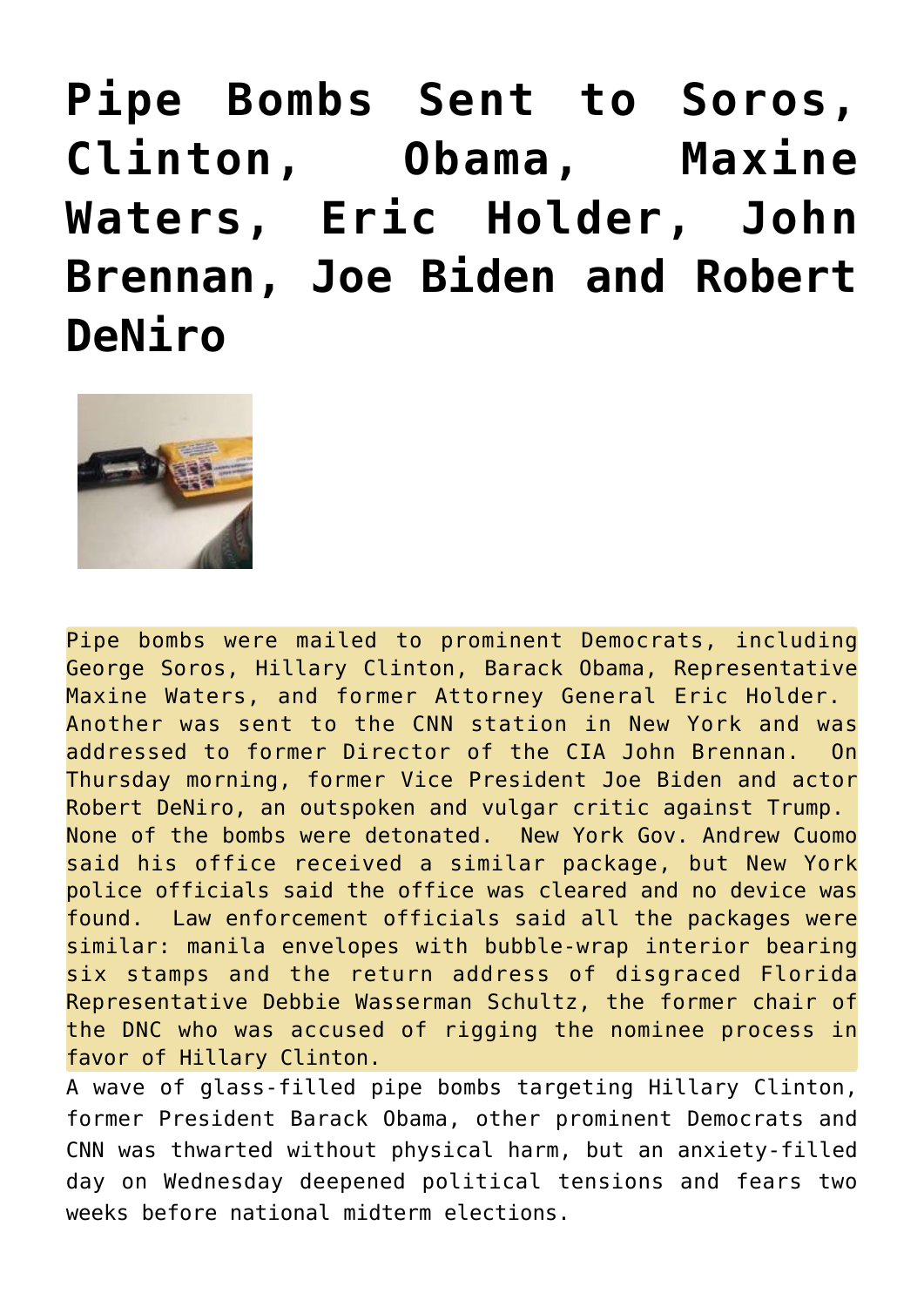**[Pipe Bombs Sent to Soros,](https://needtoknow.news/2018/10/pipe-bombs-sent-soros-clinton-obama-maxine-waters-eric-holder-john-brennan-joe-biden-robert-deniro/) [Clinton, Obama, Maxine](https://needtoknow.news/2018/10/pipe-bombs-sent-soros-clinton-obama-maxine-waters-eric-holder-john-brennan-joe-biden-robert-deniro/) [Waters, Eric Holder, John](https://needtoknow.news/2018/10/pipe-bombs-sent-soros-clinton-obama-maxine-waters-eric-holder-john-brennan-joe-biden-robert-deniro/) [Brennan, Joe Biden and Robert](https://needtoknow.news/2018/10/pipe-bombs-sent-soros-clinton-obama-maxine-waters-eric-holder-john-brennan-joe-biden-robert-deniro/) [DeNiro](https://needtoknow.news/2018/10/pipe-bombs-sent-soros-clinton-obama-maxine-waters-eric-holder-john-brennan-joe-biden-robert-deniro/)**



Pipe bombs were mailed to prominent Democrats, including George Soros, Hillary Clinton, Barack Obama, Representative Maxine Waters, and former Attorney General Eric Holder. Another was sent to the CNN station in New York and was addressed to former Director of the CIA John Brennan. On Thursday morning, former Vice President Joe Biden and actor Robert DeNiro, an outspoken and vulgar [critic](https://www.thegatewaypundit.com/2018/10/update-joe-biden-and-robert-deniro-targeted-with-bomb-packages/) against Trump. None of the bombs were detonated. New York Gov. Andrew Cuomo said his office received a similar package, but New York police officials said the office was cleared and no device was found. Law enforcement officials said all the packages were similar: manila envelopes with bubble-wrap interior bearing six stamps and the return address of disgraced Florida Representative Debbie Wasserman Schultz, the former chair of the DNC who was accused of rigging the nominee process in favor of Hillary Clinton.

A wave of glass-filled pipe bombs targeting Hillary Clinton, former President Barack Obama, other prominent Democrats and CNN was thwarted without physical harm, but an anxiety-filled day on Wednesday deepened political tensions and fears two weeks before national midterm elections.